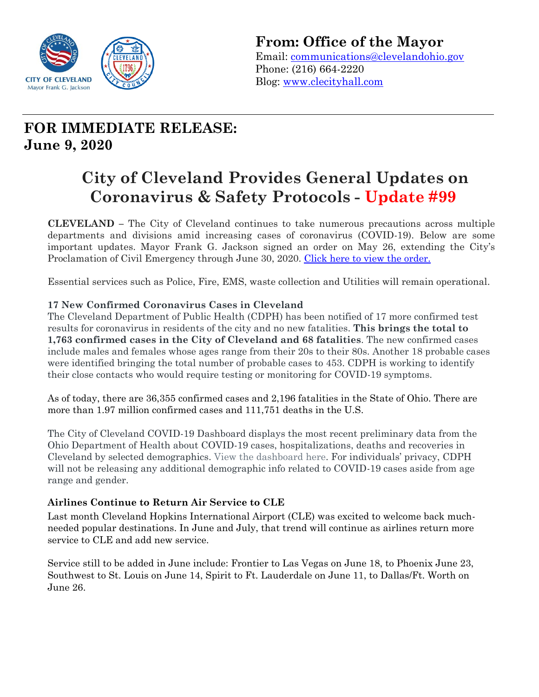

**From: Office of the Mayor** Email: [communications@clevelandohio.gov](mailto:communications@clevelandohio.gov) Phone: (216) 664-2220 Blog: [www.clecityhall.com](http://www.clecityhall.com/) 

## **FOR IMMEDIATE RELEASE: June 9, 2020**

# **City of Cleveland Provides General Updates on Coronavirus & Safety Protocols - Update #99**

**CLEVELAND –** The City of Cleveland continues to take numerous precautions across multiple departments and divisions amid increasing cases of coronavirus (COVID-19). Below are some important updates. Mayor Frank G. Jackson signed an order on May 26, extending the City's Proclamation of Civil Emergency through June 30, 2020. [Click here to view the order.](https://www.dropbox.com/s/xvh9e9u2w8vus70/doc00995320200526123627.pdf?dl=0)

Essential services such as Police, Fire, EMS, waste collection and Utilities will remain operational.

## **17 New Confirmed Coronavirus Cases in Cleveland**

The Cleveland Department of Public Health (CDPH) has been notified of 17 more confirmed test results for coronavirus in residents of the city and no new fatalities. **This brings the total to 1,763 confirmed cases in the City of Cleveland and 68 fatalities**. The new confirmed cases include males and females whose ages range from their 20s to their 80s. Another 18 probable cases were identified bringing the total number of probable cases to 453. CDPH is working to identify their close contacts who would require testing or monitoring for COVID-19 symptoms.

As of today, there are 36,355 confirmed cases and 2,196 fatalities in the State of Ohio. There are more than 1.97 million confirmed cases and 111,751 deaths in the U.S.

The City of Cleveland COVID-19 Dashboard displays the most recent preliminary data from the Ohio Department of Health about COVID-19 cases, hospitalizations, deaths and recoveries in Cleveland by selected demographics. View the [dashboard](http://www.clevelandhealth.org/) here. For individuals' privacy, CDPH will not be releasing any additional demographic info related to COVID-19 cases aside from age range and gender.

## **Airlines Continue to Return Air Service to CLE**

Last month Cleveland Hopkins International Airport (CLE) was excited to welcome back muchneeded popular destinations. In June and July, that trend will continue as airlines return more service to CLE and add new service.

Service still to be added in June include: Frontier to Las Vegas on June 18, to Phoenix June 23, Southwest to St. Louis on June 14, Spirit to Ft. Lauderdale on June 11, to Dallas/Ft. Worth on June 26.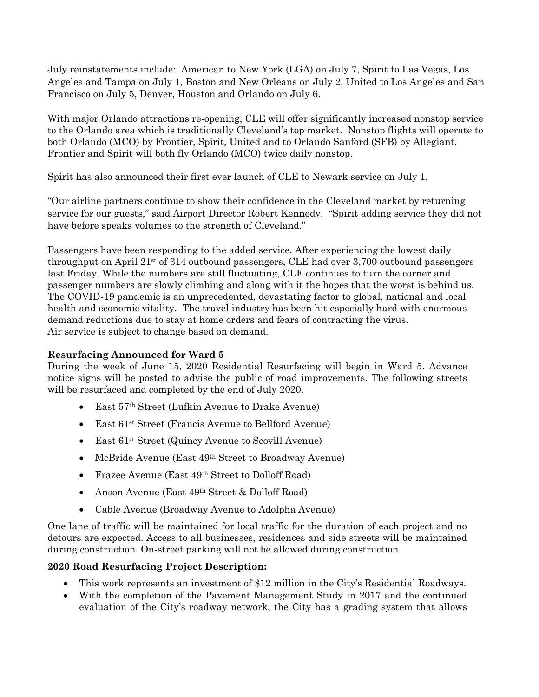July reinstatements include: American to New York (LGA) on July 7, Spirit to Las Vegas, Los Angeles and Tampa on July 1, Boston and New Orleans on July 2, United to Los Angeles and San Francisco on July 5, Denver, Houston and Orlando on July 6.

With major Orlando attractions re-opening, CLE will offer significantly increased nonstop service to the Orlando area which is traditionally Cleveland's top market. Nonstop flights will operate to both Orlando (MCO) by Frontier, Spirit, United and to Orlando Sanford (SFB) by Allegiant. Frontier and Spirit will both fly Orlando (MCO) twice daily nonstop.

Spirit has also announced their first ever launch of CLE to Newark service on July 1.

"Our airline partners continue to show their confidence in the Cleveland market by returning service for our guests," said Airport Director Robert Kennedy. "Spirit adding service they did not have before speaks volumes to the strength of Cleveland."

Passengers have been responding to the added service. After experiencing the lowest daily throughput on April  $21^{st}$  of 314 outbound passengers, CLE had over 3,700 outbound passengers last Friday. While the numbers are still fluctuating, CLE continues to turn the corner and passenger numbers are slowly climbing and along with it the hopes that the worst is behind us. The COVID-19 pandemic is an unprecedented, devastating factor to global, national and local health and economic vitality. The travel industry has been hit especially hard with enormous demand reductions due to stay at home orders and fears of contracting the virus. Air service is subject to change based on demand.

## **Resurfacing Announced for Ward 5**

During the week of June 15, 2020 Residential Resurfacing will begin in Ward 5. Advance notice signs will be posted to advise the public of road improvements. The following streets will be resurfaced and completed by the end of July 2020.

- East 57th Street (Lufkin Avenue to Drake Avenue)
- East 61st Street (Francis Avenue to Bellford Avenue)
- East 61st Street (Quincy Avenue to Scovill Avenue)
- McBride Avenue (East 49th Street to Broadway Avenue)
- Frazee Avenue (East 49<sup>th</sup> Street to Dolloff Road)
- Anson Avenue (East 49th Street & Dolloff Road)
- Cable Avenue (Broadway Avenue to Adolpha Avenue)

One lane of traffic will be maintained for local traffic for the duration of each project and no detours are expected. Access to all businesses, residences and side streets will be maintained during construction. On-street parking will not be allowed during construction.

## **2020 Road Resurfacing Project Description:**

- This work represents an investment of \$12 million in the City's Residential Roadways.
- With the completion of the Pavement Management Study in 2017 and the continued evaluation of the City's roadway network, the City has a grading system that allows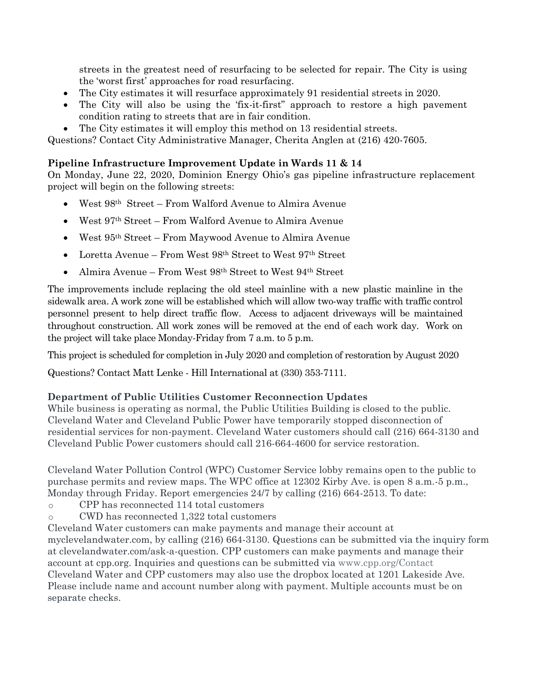streets in the greatest need of resurfacing to be selected for repair. The City is using the 'worst first' approaches for road resurfacing.

- The City estimates it will resurface approximately 91 residential streets in 2020.
- The City will also be using the 'fix-it-first" approach to restore a high pavement condition rating to streets that are in fair condition.
- The City estimates it will employ this method on 13 residential streets.

Questions? Contact City Administrative Manager, Cherita Anglen at (216) 420-7605.

### **Pipeline Infrastructure Improvement Update in Wards 11 & 14**

On Monday, June 22, 2020, Dominion Energy Ohio's gas pipeline infrastructure replacement project will begin on the following streets:

- West 98th Street From Walford Avenue to Almira Avenue
- West 97th Street From Walford Avenue to Almira Avenue
- West 95th Street From Maywood Avenue to Almira Avenue
- Loretta Avenue From West 98<sup>th</sup> Street to West 97<sup>th</sup> Street
- Almira Avenue From West 98th Street to West 94th Street

The improvements include replacing the old steel mainline with a new plastic mainline in the sidewalk area. A work zone will be established which will allow two-way traffic with traffic control personnel present to help direct traffic flow. Access to adjacent driveways will be maintained throughout construction. All work zones will be removed at the end of each work day. Work on the project will take place Monday-Friday from 7 a.m. to 5 p.m.

This project is scheduled for completion in July 2020 and completion of restoration by August 2020

Questions? Contact Matt Lenke - Hill International at (330) 353-7111.

#### **Department of Public Utilities Customer Reconnection Updates**

While business is operating as normal, the Public Utilities Building is closed to the public. Cleveland Water and Cleveland Public Power have temporarily stopped disconnection of residential services for non-payment. Cleveland Water customers should call (216) 664-3130 and Cleveland Public Power customers should call 216-664-4600 for service restoration.

Cleveland Water Pollution Control (WPC) Customer Service lobby remains open to the public to purchase permits and review maps. The WPC office at 12302 Kirby Ave. is open 8 a.m.-5 p.m., Monday through Friday. Report emergencies 24/7 by calling (216) 664-2513. To date:

- o CPP has reconnected 114 total customers
- o CWD has reconnected 1,322 total customers

Cleveland Water customers can make payments and manage their account at

myclevelandwater.com, by calling (216) 664-3130. Questions can be submitted via the inquiry form at clevelandwater.com/ask-a-question. CPP customers can make payments and manage their account at cpp.org. Inquiries and questions can be submitted via [www.cpp.org/Contact](http://www.cpp.org/Contact) Cleveland Water and CPP customers may also use the dropbox located at 1201 Lakeside Ave. Please include name and account number along with payment. Multiple accounts must be on separate checks.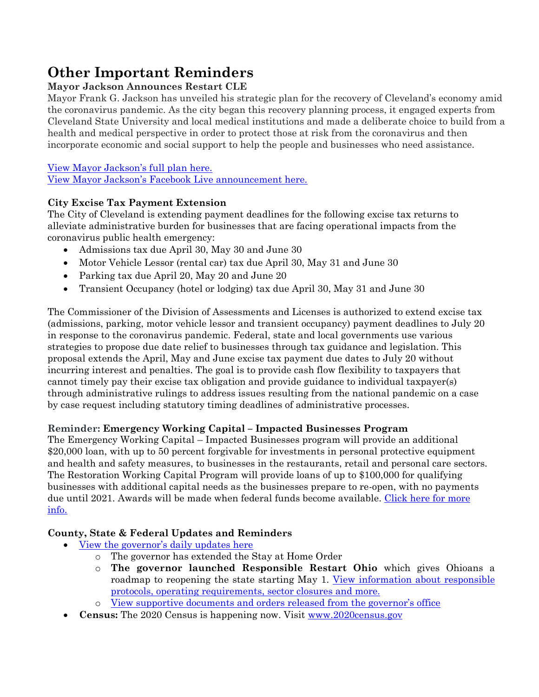## **Other Important Reminders**

## **Mayor Jackson Announces Restart CLE**

Mayor Frank G. Jackson has unveiled his strategic plan for the recovery of Cleveland's economy amid the coronavirus pandemic. As the city began this recovery planning process, it engaged experts from Cleveland State University and local medical institutions and made a deliberate choice to build from a health and medical perspective in order to protect those at risk from the coronavirus and then incorporate economic and social support to help the people and businesses who need assistance.

## [View Mayor Jackson's full plan here.](https://clecityhall.files.wordpress.com/2020/05/mayor-jackson-restart-cle-plan.pdf)

[View Mayor Jackson's Facebook Live announcement here.](https://www.facebook.com/CityofCleveland/videos/862875027542146/)

## **City Excise Tax Payment Extension**

The City of Cleveland is extending payment deadlines for the following excise tax returns to alleviate administrative burden for businesses that are facing operational impacts from the coronavirus public health emergency:

- Admissions tax due April 30, May 30 and June 30
- Motor Vehicle Lessor (rental car) tax due April 30, May 31 and June 30
- Parking tax due April 20, May 20 and June 20
- Transient Occupancy (hotel or lodging) tax due April 30, May 31 and June 30

The Commissioner of the Division of Assessments and Licenses is authorized to extend excise tax (admissions, parking, motor vehicle lessor and transient occupancy) payment deadlines to July 20 in response to the coronavirus pandemic. Federal, state and local governments use various strategies to propose due date relief to businesses through tax guidance and legislation. This proposal extends the April, May and June excise tax payment due dates to July 20 without incurring interest and penalties. The goal is to provide cash flow flexibility to taxpayers that cannot timely pay their excise tax obligation and provide guidance to individual taxpayer(s) through administrative rulings to address issues resulting from the national pandemic on a case by case request including statutory timing deadlines of administrative processes.

## **Reminder: Emergency Working Capital – Impacted Businesses Program**

The Emergency Working Capital – Impacted Businesses program will provide an additional \$20,000 loan, with up to 50 percent forgivable for investments in personal protective equipment and health and safety measures, to businesses in the restaurants, retail and personal care sectors. The Restoration Working Capital Program will provide loans of up to \$100,000 for qualifying businesses with additional capital needs as the businesses prepare to re-open, with no payments due until 2021. Awards will be made when federal funds become available. [Click here for more](https://makeitincleveland.org/covid-19)  [info.](https://makeitincleveland.org/covid-19)

## **County, State & Federal Updates and Reminders**

- [View the governor's daily updates here](https://ohiochannel.org/collections/governor-mike-dewine)
	- o The governor has extended the Stay at Home Order
	- o **The governor launched Responsible Restart Ohio** which gives Ohioans a roadmap to reopening the state starting May 1. View information about responsible [protocols, operating requirements, sector closures and more.](https://coronavirus.ohio.gov/wps/portal/gov/covid-19/responsible-restart-ohio/)
	- [View supportive documents and orders released from the governor's office](https://coronavirus.ohio.gov/wps/portal/gov/covid-19/home)
- **Census:** The 2020 Census is happening now. Visit [www.2020census.gov](http://www.2020census.gov/)